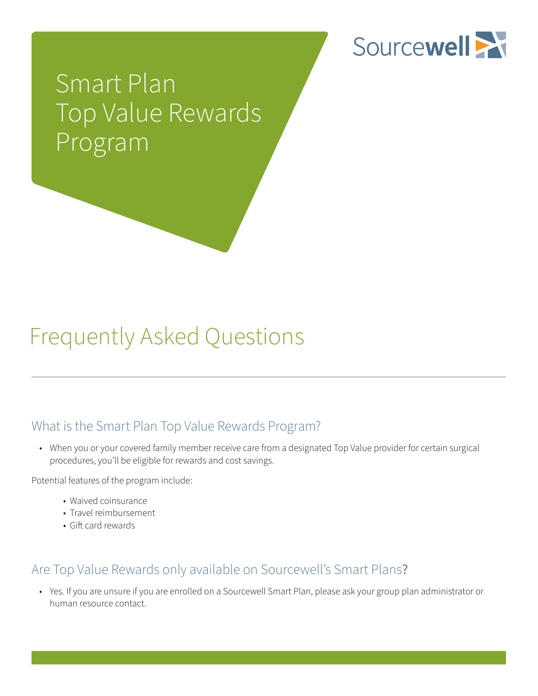

# Smart Plan Top Value Rewards Program

## Frequently Asked Questions

### What is the Smart Plan Top Value Rewards Program?

 • When you or your covered family member receive care from a designated Top Value provider for certain surgical procedures, you'll be eligible for rewards and cost savings.

Potential features of the program include:

- Waived coinsurance
- Travel reimbursement
- Gift card rewards

### Are Top Value Rewards only available on Sourcewell's Smart Plans?

 • Yes. If you are unsure if you are enrolled on a Sourcewell Smart Plan, please ask your group plan administrator or human resource contact.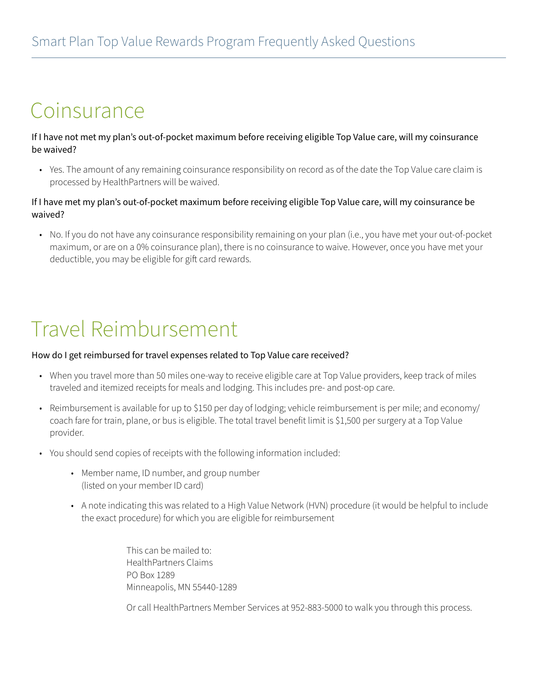### Coinsurance

If I have not met my plan's out-of-pocket maximum before receiving eligible Top Value care, will my coinsurance be waived?

 • Yes. The amount of any remaining coinsurance responsibility on record as of the date the Top Value care claim is processed by HealthPartners will be waived.

#### If I have met my plan's out-of-pocket maximum before receiving eligible Top Value care, will my coinsurance be waived?

 • No. If you do not have any coinsurance responsibility remaining on your plan (i.e., you have met your out-of-pocket maximum, or are on a 0% coinsurance plan), there is no coinsurance to waive. However, once you have met your deductible, you may be eligible for gift card rewards.

### Travel Reimbursement

#### How do I get reimbursed for travel expenses related to Top Value care received?

- When you travel more than 50 miles one-way to receive eligible care at Top Value providers, keep track of miles traveled and itemized receipts for meals and lodging. This includes pre- and post-op care.
- Reimbursement is available for up to \$150 per day of lodging; vehicle reimbursement is per mile; and economy/ coach fare for train, plane, or bus is eligible. The total travel benefit limit is \$1,500 per surgery at a Top Value provider.
- You should send copies of receipts with the following information included:
	- Member name, ID number, and group number (listed on your member ID card)
	- A note indicating this was related to a High Value Network (HVN) procedure (it would be helpful to include the exact procedure) for which you are eligible for reimbursement

 This can be mailed to: HealthPartners Claims PO Box 1289 Minneapolis, MN 55440-1289

Or call HealthPartners Member Services at 952-883-5000 to walk you through this process.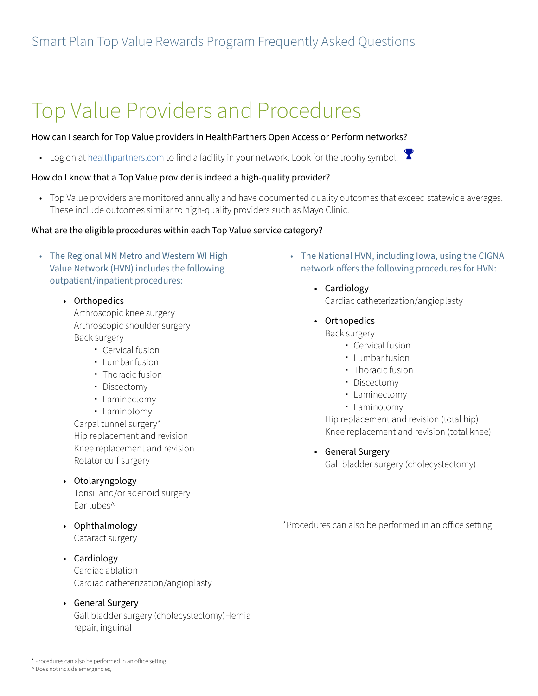## Top Value Providers and Procedures

#### How can I search for Top Value providers in HealthPartners Open Access or Perform networks?

• Log on at [healthpartners.com](http://healthpartners.com) to find a facility in your network. Look for the trophy symbol.  $\mathbf{\hat{Y}}$ 

#### How do I know that a Top Value provider is indeed a high-quality provider?

 • Top Value providers are monitored annually and have documented quality outcomes that exceed statewide averages. These include outcomes similar to high-quality providers such as Mayo Clinic.

#### What are the eligible procedures within each Top Value service category?

- The Regional MN Metro and Western WI High Value Network (HVN) includes the following outpatient/inpatient procedures:
	- Orthopedics

Arthroscopic knee surgery Arthroscopic shoulder surgery Back surgery

- Cervical fusion
- $\overline{\phantom{a}}$  Lumbar fusion
- $\cdot$  Thoracic fusion
- Discectomy
- Laminectomy
- Laminotomy

Carpal tunnel surgery\* Hip replacement and revision Knee replacement and revision Rotator cuff surgery

### • Otolaryngology

Tonsil and/or adenoid surgery Ear tubes^

- Ophthalmology Cataract surgery
- Cardiology Cardiac ablation Cardiac catheterization/angioplasty
- General Surgery Gall bladder surgery (cholecystectomy)Hernia repair, inguinal
- The National HVN, including Iowa, using the CIGNA network offers the following procedures for HVN:
	- Cardiology Cardiac catheterization/angioplasty
	- Orthopedics
		- Back surgery
			- Cervical fusion
			- $\textcolor{red}{\bullet}$  Lumbar fusion
			- $\cdot$  Thoracic fusion
			- Discectomy
			- Laminectomy
			- Laminotomy

Hip replacement and revision (total hip) Knee replacement and revision (total knee)

• General Surgery

Gall bladder surgery (cholecystectomy)

\*Procedures can also be performed in an office setting.